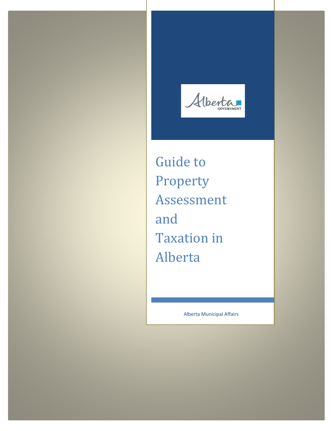Alberta

Guide to Property Assessment and Taxation in Alberta

Alberta Municipal Affairs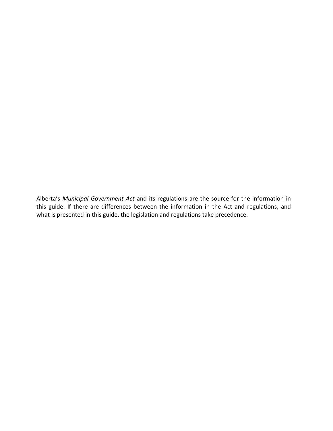Alberta's *Municipal Government Act* and its regulations are the source for the information in this guide. If there are differences between the information in the Act and regulations, and what is presented in this guide, the legislation and regulations take precedence.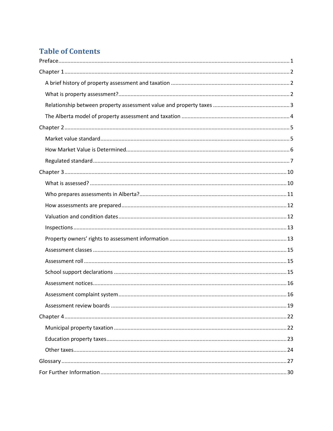# **Table of Contents**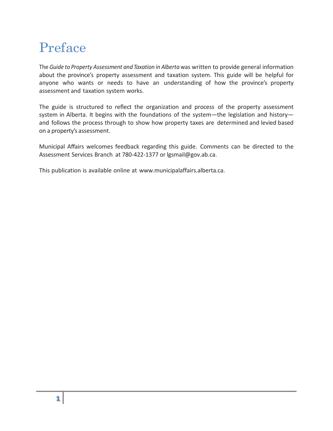# <span id="page-4-0"></span>Preface

The *Guide to Property Assessment and Taxation in Alberta* was written to provide general information about the province's property assessment and taxation system. This guide will be helpful for anyone who wants or needs to have an understanding of how the province's property assessment and taxation system works.

The guide is structured to reflect the organization and process of the property assessment system in Alberta. It begins with the foundations of the system—the legislation and history and follows the process through to show how property taxes are determined and levied based on a property's assessment.

Municipal Affairs welcomes feedback regarding this guide. Comments can be directed to the Assessment Services Branch at 780-422-1377 or [lgsmail@gov.ab.ca.](mailto:lgsmail@gov.ab.ca.)

This publication is available online at [www.municipalaffairs.alberta.ca.](http://www.municipalaffairs.alberta.ca/)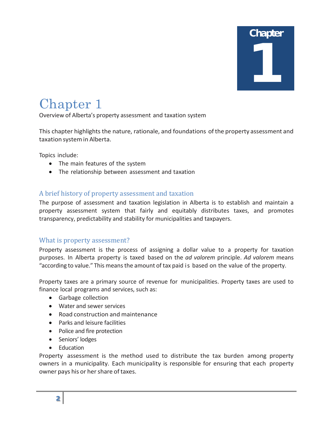

# <span id="page-5-0"></span>Chapter 1

Overview of Alberta's property assessment and taxation system

This chapter highlights the nature, rationale, and foundations ofthe property assessment and taxation systemin Alberta.

Topics include:

- The main features of the system
- The relationship between assessment and taxation

#### <span id="page-5-1"></span>A brief history of property assessment and taxation

The purpose of assessment and taxation legislation in Alberta is to establish and maintain a property assessment system that fairly and equitably distributes taxes, and promotes transparency, predictability and stability for municipalities and taxpayers.

#### <span id="page-5-2"></span>What is property assessment?

Property assessment is the process of assigning a dollar value to a property for taxation purposes. In Alberta property is taxed based on the *ad valorem* principle. *Ad valorem* means "according to value." This meansthe amount of tax paid is based on the value of the property.

Property taxes are a primary source of revenue for municipalities. Property taxes are used to finance local programs and services, such as:

- Garbage collection
- Water and sewer services
- Road construction and maintenance
- Parks and leisure facilities
- Police and fire protection
- Seniors' lodges
- Education

Property assessment is the method used to distribute the tax burden among property owners in a municipality. Each municipality is responsible for ensuring that each property owner pays his or her share of taxes.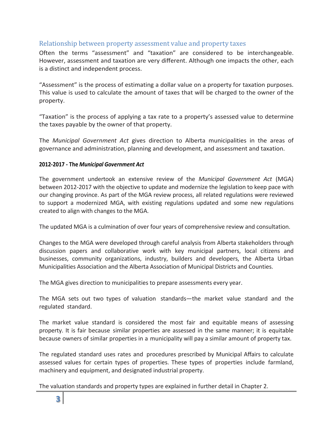# <span id="page-6-0"></span>Relationship between property assessment value and property taxes

Often the terms "assessment" and "taxation" are considered to be interchangeable. However, assessment and taxation are very different. Although one impacts the other, each is a distinct and independent process.

"Assessment" is the process of estimating a dollar value on a property for taxation purposes. This value is used to calculate the amount of taxes that will be charged to the owner of the property.

"Taxation" is the process of applying a tax rate to a property's assessed value to determine the taxes payable by the owner of that property.

The *Municipal Government Act* gives direction to Alberta municipalities in the areas of governance and administration, planning and development, and assessment and taxation.

#### **2012-2017 - The** *Municipal Government Act*

The government undertook an extensive review of the *Municipal Government Act* (MGA) between 2012-2017 with the objective to update and modernize the legislation to keep pace with our changing province. As part of the MGA review process, all related regulations were reviewed to support a modernized MGA, with existing regulations updated and some new regulations created to align with changes to the MGA.

The updated MGA is a culmination of over four years of comprehensive review and consultation.

Changes to the MGA were developed through careful analysis from Alberta stakeholders through discussion papers and collaborative work with key municipal partners, local citizens and businesses, community organizations, industry, builders and developers, the Alberta Urban Municipalities Association and the Alberta Association of Municipal Districts and Counties.

The MGA gives direction to municipalities to prepare assessments every year.

The MGA sets out two types of valuation standards—the market value standard and the regulated standard.

The market value standard is considered the most fair and equitable means of assessing property. It is fair because similar properties are assessed in the same manner; it is equitable because owners of similar properties in a municipality will pay a similar amount of property tax.

The regulated standard uses rates and procedures prescribed by Municipal Affairs to calculate assessed values for certain types of properties. These types of properties include farmland, machinery and equipment, and designated industrial property.

The valuation standards and property types are explained in further detail in Chapter 2.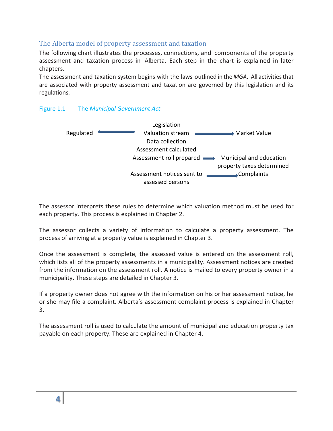# <span id="page-7-0"></span>The Alberta model of property assessment and taxation

The following chart illustrates the processes, connections, and components of the property assessment and taxation process in Alberta. Each step in the chart is explained in later chapters.

The assessment and taxation system begins with the laws outlined in the *MGA*. All activitiesthat are associated with property assessment and taxation are governed by this legislation and its regulations.





The assessor interprets these rules to determine which valuation method must be used for each property. This process is explained in Chapter 2.

The assessor collects a variety of information to calculate a property assessment. The process of arriving at a property value is explained in Chapter 3.

Once the assessment is complete, the assessed value is entered on the assessment roll, which lists all of the property assessments in a municipality. Assessment notices are created from the information on the assessment roll. A notice is mailed to every property owner in a municipality. These steps are detailed in Chapter 3.

If a property owner does not agree with the information on his or her assessment notice, he or she may file a complaint. Alberta's assessment complaint process is explained in Chapter 3.

The assessment roll is used to calculate the amount of municipal and education property tax payable on each property. These are explained in Chapter 4.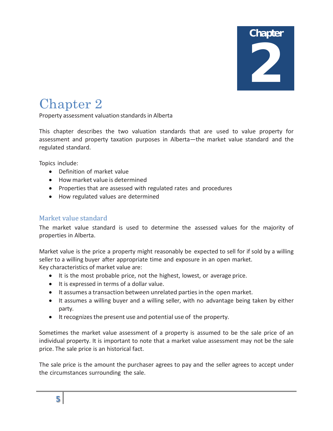**Chapter** 2

# <span id="page-8-0"></span>Chapter 2

Property assessment valuation standards in Alberta

This chapter describes the two valuation standards that are used to value property for assessment and property taxation purposes in Alberta—the market value standard and the regulated standard.

Topics include:

- Definition of market value
- How market value is determined
- Properties that are assessed with regulated rates and procedures
- How regulated values are determined

# <span id="page-8-1"></span>Market value standard

The market value standard is used to determine the assessed values for the majority of properties in Alberta.

Market value is the price a property might reasonably be expected to sell for if sold by a willing seller to a willing buyer after appropriate time and exposure in an open market. Key characteristics of market value are:

- It is the most probable price, not the highest, lowest, or average price.
- It is expressed in terms of a dollar value.
- It assumes a transaction between unrelated parties in the open market.
- It assumes a willing buyer and a willing seller, with no advantage being taken by either party.
- Itrecognizesthe present use and potential use of the property.

Sometimes the market value assessment of a property is assumed to be the sale price of an individual property. It is important to note that a market value assessment may not be the sale price. The sale price is an historical fact.

The sale price is the amount the purchaser agrees to pay and the seller agrees to accept under the circumstances surrounding the sale.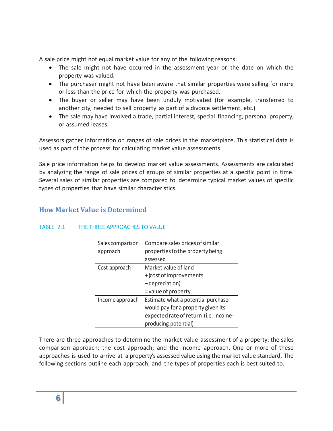A sale price might not equal market value for any of the following reasons:

- The sale might not have occurred in the assessment year or the date on which the property was valued.
- The purchaser might not have been aware that similar properties were selling for more or less than the price for which the property was purchased.
- The buyer or seller may have been unduly motivated (for example, transferred to another city, needed to sell property as part of a divorce settlement, etc.).
- The sale may have involved a trade, partial interest, special financing, personal property, or assumed leases.

Assessors gather information on ranges of sale prices in the marketplace. This statistical data is used as part of the process for calculating market value assessments.

Sale price information helps to develop market value assessments. Assessments are calculated by analyzing the range of sale prices of groups of similar properties at a specific point in time. Several sales of similar properties are compared to determine typical market values of specific types of properties that have similar characteristics.

# <span id="page-9-0"></span>**How Market Value is Determined**

| Sales comparison<br>approach | Compare sales prices of similar<br>properties to the property being |
|------------------------------|---------------------------------------------------------------------|
|                              | assessed                                                            |
| Cost approach                | Market value of land                                                |
|                              | +(cost of improvements                                              |
|                              | -depreciation)                                                      |
|                              | = value of property                                                 |
| Income approach              | Estimate what a potential purchaser                                 |
|                              | would pay for a property given its                                  |
|                              | expected rate of return (i.e. income-                               |
|                              | producing potential)                                                |

#### TABLE 2.1 THE THREE APPROACHES TO VALUE

There are three approaches to determine the market value assessment of a property: the sales comparison approach; the cost approach; and the income approach. One or more of these approaches is used to arrive at a property's assessed value using the market value standard. The following sections outline each approach, and the types of properties each is best suited to.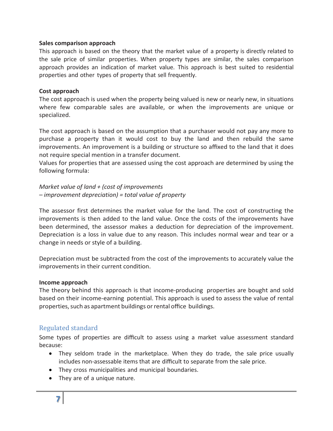#### **Sales comparison approach**

This approach is based on the theory that the market value of a property is directly related to the sale price of similar properties. When property types are similar, the sales comparison approach provides an indication of market value. This approach is best suited to residential properties and other types of property that sell frequently.

#### **Cost approach**

The cost approach is used when the property being valued is new or nearly new, in situations where few comparable sales are available, or when the improvements are unique or specialized.

The cost approach is based on the assumption that a purchaser would not pay any more to purchase a property than it would cost to buy the land and then rebuild the same improvements. An improvement is a building or structure so affixed to the land that it does not require special mention in a transfer document.

Values for properties that are assessed using the cost approach are determined by using the following formula:

*Market value of land + (cost of improvements – improvement depreciation) = total value of property*

The assessor first determines the market value for the land. The cost of constructing the improvements is then added to the land value. Once the costs of the improvements have been determined, the assessor makes a deduction for depreciation of the improvement. Depreciation is a loss in value due to any reason. This includes normal wear and tear or a change in needs or style of a building.

Depreciation must be subtracted from the cost of the improvements to accurately value the improvements in their current condition.

#### **Income approach**

The theory behind this approach is that income-producing properties are bought and sold based on their income-earning potential. This approach is used to assess the value of rental properties, such as apartment buildings or rental office buildings.

# <span id="page-10-0"></span>Regulated standard

Some types of properties are difficult to assess using a market value assessment standard because:

- They seldom trade in the marketplace. When they do trade, the sale price usually includes non-assessable items that are difficult to separate from the sale price.
- They cross municipalities and municipal boundaries.
- They are of a unique nature.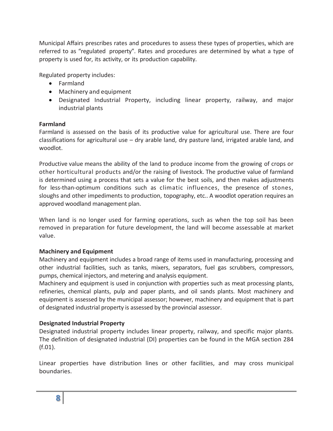Municipal Affairs prescribes rates and procedures to assess these types of properties, which are referred to as "regulated property". Rates and procedures are determined by what a type of property is used for, its activity, or its production capability.

Regulated property includes:

- Farmland
- Machinery and equipment
- Designated Industrial Property, including linear property, railway, and major industrial plants

### **Farmland**

Farmland is assessed on the basis of its productive value for agricultural use. There are four classifications for agricultural use – dry arable land, dry pasture land, irrigated arable land, and woodlot.

Productive value means the ability of the land to produce income from the growing of crops or other horticultural products and/or the raising of livestock. The productive value of farmland is determined using a process that sets a value for the best soils, and then makes adjustments for less-than-optimum conditions such as climatic influences, the presence of stones, sloughs and other impediments to production, topography, etc.. A woodlot operation requires an approved woodland management plan.

When land is no longer used for farming operations, such as when the top soil has been removed in preparation for future development, the land will become assessable at market value.

#### **Machinery and Equipment**

Machinery and equipment includes a broad range of items used in manufacturing, processing and other industrial facilities, such as tanks, mixers, separators, fuel gas scrubbers, compressors, pumps, chemical injectors, and metering and analysis equipment.

Machinery and equipment is used in conjunction with properties such as meat processing plants, refineries, chemical plants, pulp and paper plants, and oil sands plants. Most machinery and equipment is assessed by the municipal assessor; however, machinery and equipment that is part of designated industrial property is assessed by the provincial assessor.

# **Designated Industrial Property**

Designated industrial property includes linear property, railway, and specific major plants. The definition of designated industrial (DI) properties can be found in the MGA section 284 (f.01).

Linear properties have distribution lines or other facilities, and may cross municipal boundaries.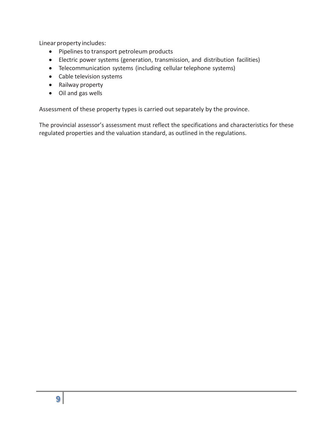Linear property includes:

- Pipelines to transport petroleum products
- Electric power systems (generation, transmission, and distribution facilities)
- Telecommunication systems (including cellular telephone systems)
- Cable television systems
- Railway property
- Oil and gas wells

Assessment of these property types is carried out separately by the province.

The provincial assessor's assessment must reflect the specifications and characteristics for these regulated properties and the valuation standard, as outlined in the regulations.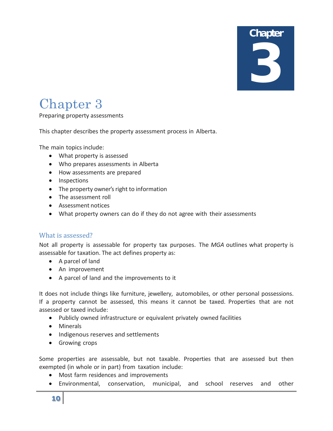# **Chapter** 3

# <span id="page-13-0"></span>Chapter 3

Preparing property assessments

This chapter describes the property assessment process in Alberta.

The main topics include:

- What property is assessed
- Who prepares assessments in Alberta
- How assessments are prepared
- Inspections
- The property owner's right to information
- The assessment roll
- Assessment notices
- What property owners can do if they do not agree with their assessments

#### <span id="page-13-1"></span>What is assessed?

Not all property is assessable for property tax purposes. The *MGA* outlines what property is assessable for taxation. The act defines property as:

- A parcel of land
- An improvement
- A parcel of land and the improvements to it

It does not include things like furniture, jewellery, automobiles, or other personal possessions. If a property cannot be assessed, this means it cannot be taxed. Properties that are not assessed or taxed include:

- Publicly owned infrastructure or equivalent privately owned facilities
- Minerals
- Indigenous reserves and settlements
- Growing crops

Some properties are assessable, but not taxable. Properties that are assessed but then exempted (in whole or in part) from taxation include:

- Most farm residences and improvements
- Environmental, conservation, municipal, and school reserves and other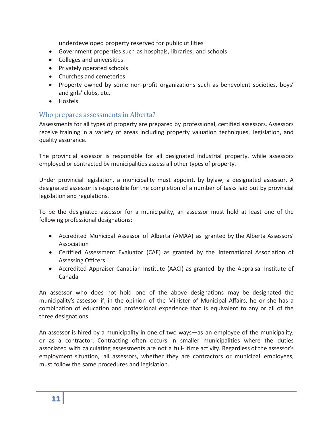underdeveloped property reserved for public utilities

- Government properties such as hospitals, libraries, and schools
- Colleges and universities
- Privately operated schools
- Churches and cemeteries
- Property owned by some non-profit organizations such as benevolent societies, boys' and girls' clubs, etc.
- Hostels

# <span id="page-14-0"></span>Who prepares assessments in Alberta?

Assessments for all types of property are prepared by professional, certified assessors. Assessors receive training in a variety of areas including property valuation techniques, legislation, and quality assurance.

The provincial assessor is responsible for all designated industrial property, while assessors employed or contracted by municipalities assess all other types of property.

Under provincial legislation, a municipality must appoint, by bylaw, a designated assessor. A designated assessor is responsible for the completion of a number of tasks laid out by provincial legislation and regulations.

To be the designated assessor for a municipality, an assessor must hold at least one of the following professional designations:

- Accredited Municipal Assessor of Alberta (AMAA) as granted by the Alberta Assessors' Association
- Certified Assessment Evaluator (CAE) as granted by the International Association of Assessing Officers
- Accredited Appraiser Canadian Institute (AACI) as granted by the Appraisal Institute of Canada

An assessor who does not hold one of the above designations may be designated the municipality's assessor if, in the opinion of the Minister of Municipal Affairs, he or she has a combination of education and professional experience that is equivalent to any or all of the three designations.

An assessor is hired by a municipality in one of two ways—as an employee of the municipality, or as a contractor. Contracting often occurs in smaller municipalities where the duties associated with calculating assessments are not a full- time activity. Regardless of the assessor's employment situation, all assessors, whether they are contractors or municipal employees, must follow the same procedures and legislation.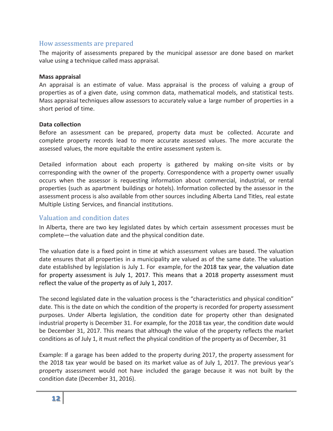#### <span id="page-15-0"></span>How assessments are prepared

The majority of assessments prepared by the municipal assessor are done based on market value using a technique called mass appraisal.

#### **Mass appraisal**

An appraisal is an estimate of value. Mass appraisal is the process of valuing a group of properties as of a given date, using common data, mathematical models, and statistical tests. Mass appraisal techniques allow assessors to accurately value a large number of properties in a short period of time.

#### **Data collection**

Before an assessment can be prepared, property data must be collected. Accurate and complete property records lead to more accurate assessed values. The more accurate the assessed values, the more equitable the entire assessment system is.

Detailed information about each property is gathered by making on-site visits or by corresponding with the owner of the property. Correspondence with a property owner usually occurs when the assessor is requesting information about commercial, industrial, or rental properties (such as apartment buildings or hotels). Information collected by the assessor in the assessment process is also available from other sources including Alberta Land Titles, real estate Multiple Listing Services, and financial institutions.

## <span id="page-15-1"></span>Valuation and condition dates

In Alberta, there are two key legislated dates by which certain assessment processes must be complete—the valuation date and the physical condition date.

The valuation date is a fixed point in time at which assessment values are based. The valuation date ensures that all properties in a municipality are valued as of the same date. The valuation date established by legislation is July 1. For example, for the 2018 tax year, the valuation date for property assessment is July 1, 2017. This means that a 2018 property assessment must reflect the value of the property as of July 1, 2017.

The second legislated date in the valuation process is the "characteristics and physical condition" date. This is the date on which the condition of the property is recorded for property assessment purposes. Under Alberta legislation, the condition date for property other than designated industrial property is December 31. For example, for the 2018 tax year, the condition date would be December 31, 2017. This means that although the value of the property reflects the market conditions as of July 1, it must reflect the physical condition of the property as of December, 31

Example: If a garage has been added to the property during 2017, the property assessment for the 2018 tax year would be based on its market value as of July 1, 2017. The previous year's property assessment would not have included the garage because it was not built by the condition date (December 31, 2016).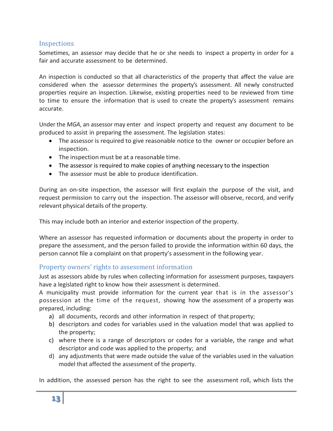# <span id="page-16-0"></span>**Inspections**

Sometimes, an assessor may decide that he or she needs to inspect a property in order for a fair and accurate assessment to be determined.

An inspection is conducted so that all characteristics of the property that affect the value are considered when the assessor determines the property's assessment. All newly constructed properties require an inspection. Likewise, existing properties need to be reviewed from time to time to ensure the information that is used to create the property's assessment remains accurate.

Under the *MGA*, an assessor may enter and inspect property and request any document to be produced to assist in preparing the assessment. The legislation states:

- The assessor is required to give reasonable notice to the owner or occupier before an inspection.
- The inspection must be at a reasonable time.
- The assessor is required to make copies of anything necessary to the inspection
- The assessor must be able to produce identification.

During an on-site inspection, the assessor will first explain the purpose of the visit, and request permission to carry out the inspection. The assessor will observe, record, and verify relevant physical details of the property.

This may include both an interior and exterior inspection of the property.

Where an assessor has requested information or documents about the property in order to prepare the assessment, and the person failed to provide the information within 60 days, the person cannot file a complaint on that property's assessment in the following year.

# <span id="page-16-1"></span>Property owners' rights to assessment information

Just as assessors abide by rules when collecting information for assessment purposes, taxpayers have a legislated right to know how their assessment is determined.

A municipality must provide information for the current year that is in the assessor's possession at the time of the request, showing how the assessment of a property was prepared, including:

- a) all documents, records and other information in respect of that property;
- b) descriptors and codes for variables used in the valuation model that was applied to the property;
- c) where there is a range of descriptors or codes for a variable, the range and what descriptor and code was applied to the property; and
- d) any adjustments that were made outside the value of the variables used in the valuation model that affected the assessment of the property.

In addition, the assessed person has the right to see the assessment roll, which lists the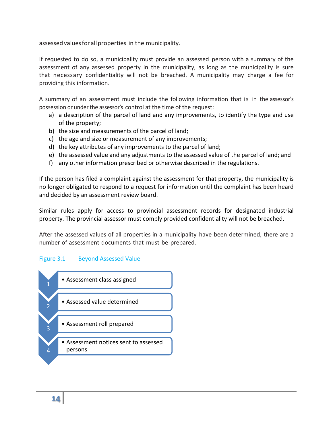assessed values for all properties in the municipality.

If requested to do so, a municipality must provide an assessed person with a summary of the assessment of any assessed property in the municipality, as long as the municipality is sure that necessary confidentiality will not be breached. A municipality may charge a fee for providing this information.

A summary of an assessment must include the following information that is in the assessor's possession or under the assessor's control at the time of the request:

- a) a description of the parcel of land and any improvements, to identify the type and use of the property;
- b) the size and measurements of the parcel of land;
- c) the age and size or measurement of any improvements;
- d) the key attributes of any improvements to the parcel of land;
- e) the assessed value and any adjustments to the assessed value of the parcel of land; and
- f) any other information prescribed or otherwise described in the regulations.

If the person has filed a complaint against the assessment for that property, the municipality is no longer obligated to respond to a request for information until the complaint has been heard and decided by an assessment review board.

Similar rules apply for access to provincial assessment records for designated industrial property. The provincial assessor must comply provided confidentiality will not be breached.

After the assessed values of all properties in a municipality have been determined, there are a number of assessment documents that must be prepared.

#### Figure 3.1 Beyond Assessed Value

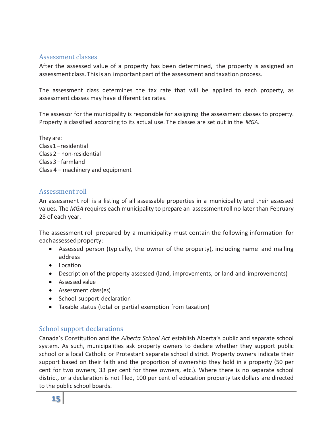## <span id="page-18-0"></span>Assessment classes

After the assessed value of a property has been determined, the property is assigned an assessment class. This is an important part of the assessment and taxation process.

The assessment class determines the tax rate that will be applied to each property, as assessment classes may have different tax rates.

The assessor for the municipality is responsible for assigning the assessment classes to property. Property is classified according to its actual use. The classes are set out in the *MGA*.

They are: Class1– residential Class 2 – non-residential Class 3 – farmland Class 4 – machinery and equipment

### <span id="page-18-1"></span>Assessment roll

An assessment roll is a listing of all assessable properties in a municipality and their assessed values. The *MGA* requires each municipality to prepare an assessmentroll no later than February 28 of each year.

The assessment roll prepared by a municipality must contain the following information for eachassessedproperty:

- Assessed person (typically, the owner of the property), including name and mailing address
- Location
- Description of the property assessed (land, improvements, or land and improvements)
- Assessed value
- Assessment class(es)
- School support declaration
- Taxable status (total or partial exemption from taxation)

# <span id="page-18-2"></span>School support declarations

Canada's Constitution and the *Alberta School Act* establish Alberta's public and separate school system. As such, municipalities ask property owners to declare whether they support public school or a local Catholic or Protestant separate school district. Property owners indicate their support based on their faith and the proportion of ownership they hold in a property (50 per cent for two owners, 33 per cent for three owners, etc.). Where there is no separate school district, or a declaration is not filed, 100 per cent of education property tax dollars are directed to the public school boards.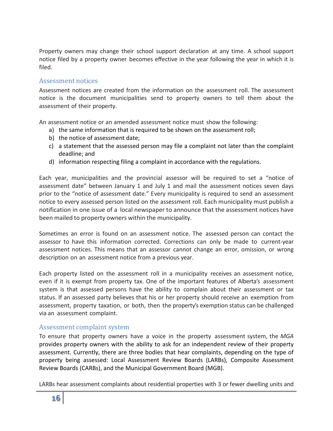Property owners may change their school support declaration at any time. A school support notice filed by a property owner becomes effective in the year following the year in which it is filed.

### <span id="page-19-0"></span>Assessment notices

Assessment notices are created from the information on the assessment roll. The assessment notice is the document municipalities send to property owners to tell them about the assessment of their property.

An assessment notice or an amended assessment notice must show the following:

- a) the same information that is required to be shown on the assessment roll;
- b) the notice of assessment date;
- c) a statement that the assessed person may file a complaint not later than the complaint deadline; and
- d) information respecting filing a complaint in accordance with the regulations.

Each year, municipalities and the provincial assessor will be required to set a "notice of assessment date" between January 1 and July 1 and mail the assessment notices seven days prior to the "notice of assessment date." Every municipality is required to send an assessment notice to every assessed person listed on the assessment roll. Each municipality must publish a notification in one issue of a local newspaper to announce that the assessment notices have been mailed to property owners within the municipality.

Sometimes an error is found on an assessment notice. The assessed person can contact the assessor to have this information corrected. Corrections can only be made to current-year assessment notices. This means that an assessor cannot change an error, omission, or wrong description on an assessment notice from a previous year.

Each property listed on the assessment roll in a municipality receives an assessment notice, even if it is exempt from property tax. One of the important features of Alberta's assessment system is that assessed persons have the ability to complain about their assessment or tax status. If an assessed party believes that his or her property should receive an exemption from assessment, property taxation, or both, then the property's exemption status can be challenged via an assessment complaint.

# <span id="page-19-1"></span>Assessment complaint system

To ensure that property owners have a voice in the property assessment system, the *MGA* provides property owners with the ability to ask for an independent review of their property assessment. Currently, there are three bodies that hear complaints, depending on the type of property being assessed: Local Assessment Review Boards (LARBs), Composite Assessment Review Boards (CARBs), and the Municipal Government Board (MGB).

LARBs hear assessment complaints about residential properties with 3 or fewer dwelling units and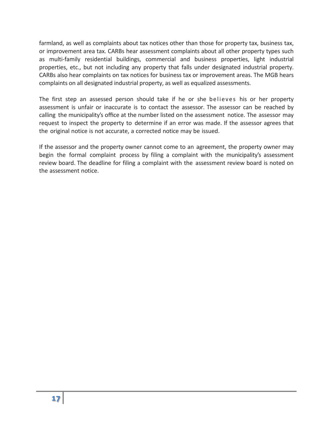farmland, as well as complaints about tax notices other than those for property tax, business tax, or improvement area tax. CARBs hear assessment complaints about all other property types such as multi-family residential buildings, commercial and business properties, light industrial properties, etc., but not including any property that falls under designated industrial property. CARBs also hear complaints on tax notices for business tax or improvement areas. The MGB hears complaints on all designated industrial property, as well as equalized assessments.

The first step an assessed person should take if he or she believes his or her property assessment is unfair or inaccurate is to contact the assessor. The assessor can be reached by calling the municipality's office at the number listed on the assessment notice. The assessor may request to inspect the property to determine if an error was made. If the assessor agrees that the original notice is not accurate, a corrected notice may be issued.

If the assessor and the property owner cannot come to an agreement, the property owner may begin the formal complaint process by filing a complaint with the municipality's assessment review board. The deadline for filing a complaint with the assessment review board is noted on the assessment notice.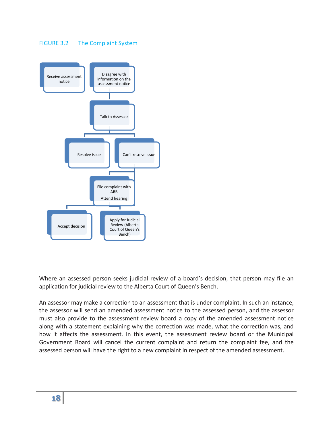#### FIGURE 3.2 The Complaint System



Where an assessed person seeks judicial review of a board's decision, that person may file an application for judicial review to the Alberta Court of Queen's Bench.

An assessor may make a correction to an assessment that is under complaint. In such an instance, the assessor will send an amended assessment notice to the assessed person, and the assessor must also provide to the assessment review board a copy of the amended assessment notice along with a statement explaining why the correction was made, what the correction was, and how it affects the assessment. In this event, the assessment review board or the Municipal Government Board will cancel the current complaint and return the complaint fee, and the assessed person will have the right to a new complaint in respect of the amended assessment.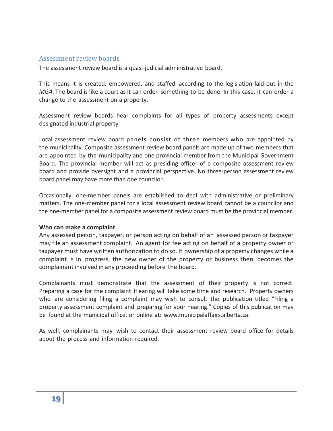#### <span id="page-22-0"></span>Assessment review boards

The assessment review board is a quasi-judicial administrative board.

This means it is created, empowered, and staffed according to the legislation laid out in the *MGA*. The board is like a court as it can order something to be done. In this case, it can order a change to the assessment on a property.

Assessment review boards hear complaints for all types of property assessments except designated industrial property.

Local assessment review board panels consist of three members who are appointed by the municipality. Composite assessment review board panels are made up of two members that are appointed by the municipality and one provincial member from the Municipal Government Board. The provincial member will act as presiding officer of a composite assessment review board and provide oversight and a provincial perspective. No three-person assessment review board panel may have more than one councilor.

Occasionally, one-member panels are established to deal with administrative or preliminary matters. The one-member panel for a local assessment review board cannot be a councilor and the one-member panel for a composite assessment review board must be the provincial member.

#### **Who can make a complaint**

Any assessed person, taxpayer, or person acting on behalf of an assessed person or taxpayer may file an assessment complaint. An agent for fee acting on behalf of a property owner or taxpayer must have written authorization to do so. If ownership of a property changes while a complaint is in progress, the new owner of the property or business then becomes the complainant involved in any proceeding before the board.

Complainants must demonstrate that the assessment of their property is not correct. Preparing a case for the complaint Hearing will take some time and research. Property owners who are considering filing a complaint may wish to consult the publication titled "Filing a property assessment complaint and preparing for your hearing." Copies of this publication may be found at the municipal office, or online at: [www.municipalaffairs.alberta.ca.](http://www.municipalaffairs.alberta.ca/)

As well, complainants may wish to contact their assessment review board office for details about the process and information required.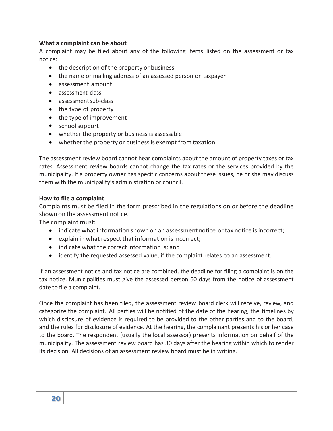#### **What a complaint can be about**

A complaint may be filed about any of the following items listed on the assessment or tax notice:

- the description of the property or business
- the name or mailing address of an assessed person or taxpayer
- assessment amount
- assessment class
- assessmentsub-class
- the type of property
- the type of improvement
- schoolsupport
- whether the property or business is assessable
- whether the property or business is exempt from taxation.

The assessment review board cannot hear complaints about the amount of property taxes or tax rates. Assessment review boards cannot change the tax rates or the services provided by the municipality. If a property owner has specific concerns about these issues, he or she may discuss them with the municipality's administration or council.

#### **How to file a complaint**

Complaints must be filed in the form prescribed in the regulations on or before the deadline shown on the assessment notice.

The complaint must:

- indicate what information shown on an assessment notice or tax notice is incorrect;
- explain in what respect that information is incorrect;
- indicate what the correct information is; and
- identify the requested assessed value, if the complaint relates to an assessment.

If an assessment notice and tax notice are combined, the deadline for filing a complaint is on the tax notice. Municipalities must give the assessed person 60 days from the notice of assessment date to file a complaint.

Once the complaint has been filed, the assessment review board clerk will receive, review, and categorize the complaint. All parties will be notified of the date of the hearing, the timelines by which disclosure of evidence is required to be provided to the other parties and to the board, and the rules for disclosure of evidence. At the hearing, the complainant presents his or her case to the board. The respondent (usually the local assessor) presents information on behalf of the municipality. The assessment review board has 30 days after the hearing within which to render its decision. All decisions of an assessment review board must be in writing.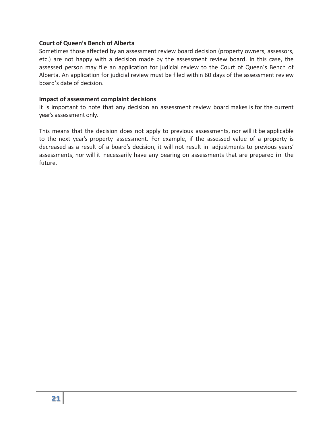#### **Court of Queen's Bench of Alberta**

Sometimes those affected by an assessment review board decision (property owners, assessors, etc.) are not happy with a decision made by the assessment review board. In this case, the assessed person may file an application for judicial review to the Court of Queen's Bench of Alberta. An application for judicial review must be filed within 60 days of the assessment review board's date of decision.

#### **Impact of assessment complaint decisions**

It is important to note that any decision an assessment review board makes is for the current year's assessment only.

This means that the decision does not apply to previous assessments, nor will it be applicable to the next year's property assessment. For example, if the assessed value of a property is decreased as a result of a board's decision, it will not result in adjustments to previous years' assessments, nor will it necessarily have any bearing on assessments that are prepared in the future.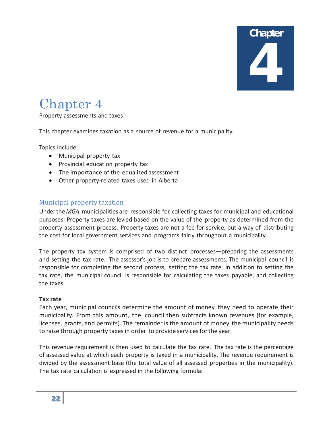# **Chapter** 4

# <span id="page-25-0"></span>Chapter 4

Property assessments and taxes

This chapter examines taxation as a source of revenue for a municipality.

Topics include:

- Municipal property tax
- Provincial education property tax
- The importance of the equalized assessment
- Other property-related taxes used in Alberta

# <span id="page-25-1"></span>Municipal property taxation

Underthe*MGA*,municipalities are responsible for collecting taxes for municipal and educational purposes. Property taxes are levied based on the value of the property as determined from the property assessment process. Property taxes are not a fee for service, but a way of distributing the cost for local government services and programs fairly throughout a municipality.

The property tax system is comprised of two distinct processes—preparing the assessments and setting the tax rate. The assessor's job is to prepare assessments. The municipal council is responsible for completing the second process, setting the tax rate. In addition to setting the tax rate, the municipal council is responsible for calculating the taxes payable, and collecting the taxes.

#### **Tax rate**

Each year, municipal councils determine the amount of money they need to operate their municipality. From this amount, the council then subtracts known revenues (for example, licenses, grants, and permits). The remainder is the amount of money the municipality needs to raise through property taxes in order to provide services for the year.

This revenue requirement is then used to calculate the tax rate. The tax rate is the percentage of assessed value at which each property is taxed in a municipality. The revenue requirement is divided by the assessment base (the total value of all assessed properties in the municipality). The tax rate calculation is expressed in the following formula: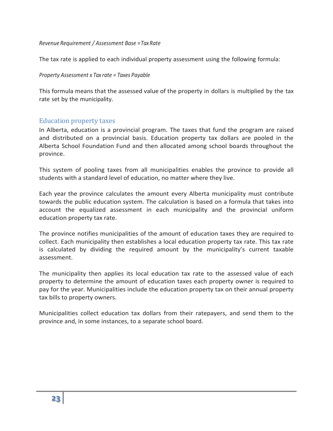*Revenue Requirement / Assessment Base = TaxRate*

The tax rate is applied to each individual property assessment using the following formula:

*Property Assessment x Tax rate = Taxes Payable*

This formula means that the assessed value of the property in dollars is multiplied by the tax rate set by the municipality.

### <span id="page-26-0"></span>Education property taxes

In Alberta, education is a provincial program. The taxes that fund the program are raised and distributed on a provincial basis. Education property tax dollars are pooled in the Alberta School Foundation Fund and then allocated among school boards throughout the province.

This system of pooling taxes from all municipalities enables the province to provide all students with a standard level of education, no matter where they live.

Each year the province calculates the amount every Alberta municipality must contribute towards the public education system. The calculation is based on a formula that takes into account the equalized assessment in each municipality and the provincial uniform education property tax rate.

The province notifies municipalities of the amount of education taxes they are required to collect. Each municipality then establishes a local education property tax rate. This tax rate is calculated by dividing the required amount by the municipality's current taxable assessment.

The municipality then applies its local education tax rate to the assessed value of each property to determine the amount of education taxes each property owner is required to pay for the year. Municipalities include the education property tax on their annual property tax bills to property owners.

<span id="page-26-1"></span>Municipalities collect education tax dollars from their ratepayers, and send them to the province and, in some instances, to a separate school board.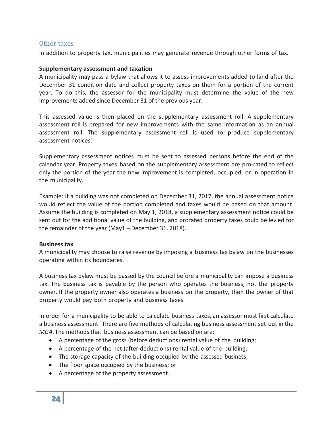#### Other taxes

In addition to property tax, municipalities may generate revenue through other forms of tax.

#### **Supplementary assessment and taxation**

A municipality may pass a bylaw that allows it to assess improvements added to land after the December 31 condition date and collect property taxes on them for a portion of the current year. To do this, the assessor for the municipality must determine the value of the new improvements added since December 31 of the previous year.

This assessed value is then placed on the supplementary assessment roll. A supplementary assessment roll is prepared for new improvements with the same information as an annual assessment roll. The supplementary assessment roll is used to produce supplementary assessment notices.

Supplementary assessment notices must be sent to assessed persons before the end of the calendar year. Property taxes based on the supplementary assessment are pro-rated to reflect only the portion of the year the new improvement is completed, occupied, or in operation in the municipality.

Example: If a building was not completed on December 31, 2017, the annual assessment notice would reflect the value of the portion completed and taxes would be based on that amount. Assume the building is completed on May 1, 2018, a supplementary assessment notice could be sent out for the additional value of the building, and prorated property taxes could be levied for the remainder of the year (May1 – December 31, 2018).

#### **Business tax**

A municipality may choose to raise revenue by imposing a business tax bylaw on the businesses operating within its boundaries.

A business tax bylaw must be passed by the council before a municipality can impose a business tax. The business tax is payable by the person who operates the business, not the property owner. If the property owner also operates a business on the property, then the owner of that property would pay both property and business taxes.

In order for a municipality to be able to calculate business taxes, an assessor must first calculate a business assessment. There are five methods of calculating business assessment set out in the *MGA*. The methods that business assessment can be based on are:

- A percentage of the gross (before deductions) rental value of the building;
- A percentage of the net (after deductions) rental value of the building;
- The storage capacity of the building occupied by the assessed business;
- The floor space occupied by the business; or
- A percentage of the property assessment.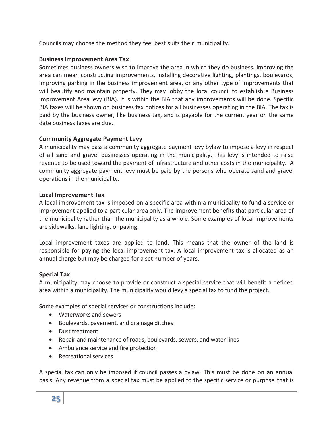Councils may choose the method they feel best suits their municipality.

#### **Business Improvement Area Tax**

Sometimes business owners wish to improve the area in which they do business. Improving the area can mean constructing improvements, installing decorative lighting, plantings, boulevards, improving parking in the business improvement area, or any other type of improvements that will beautify and maintain property. They may lobby the local council to establish a Business Improvement Area levy (BIA). It is within the BIA that any improvements will be done. Specific BIA taxes will be shown on business tax notices for all businesses operating in the BIA. The tax is paid by the business owner, like business tax, and is payable for the current year on the same date business taxes are due.

### **Community Aggregate Payment Levy**

A municipality may pass a community aggregate payment levy bylaw to impose a levy in respect of all sand and gravel businesses operating in the municipality. This levy is intended to raise revenue to be used toward the payment of infrastructure and other costs in the municipality. A community aggregate payment levy must be paid by the persons who operate sand and gravel operations in the municipality.

### **Local Improvement Tax**

A local improvement tax is imposed on a specific area within a municipality to fund a service or improvement applied to a particular area only. The improvement benefits that particular area of the municipality rather than the municipality as a whole. Some examples of local improvements are sidewalks, lane lighting, or paving.

Local improvement taxes are applied to land. This means that the owner of the land is responsible for paying the local improvement tax. A local improvement tax is allocated as an annual charge but may be charged for a set number of years.

#### **Special Tax**

A municipality may choose to provide or construct a special service that will benefit a defined area within a municipality. The municipality would levy a special tax to fund the project.

Some examples of special services or constructions include:

- Waterworks and sewers
- Boulevards, pavement, and drainage ditches
- Dust treatment
- Repair and maintenance of roads, boulevards, sewers, and water lines
- Ambulance service and fire protection
- Recreational services

A special tax can only be imposed if council passes a bylaw. This must be done on an annual basis. Any revenue from a special tax must be applied to the specific service or purpose that is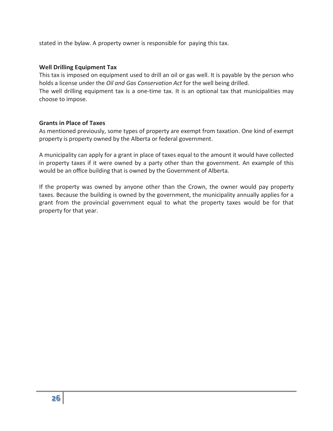stated in the bylaw. A property owner is responsible for paying this tax.

#### **Well Drilling Equipment Tax**

This tax is imposed on equipment used to drill an oil or gas well. It is payable by the person who holds a license under the *Oil and Gas Conservation Act* for the well being drilled.

The well drilling equipment tax is a one-time tax. It is an optional tax that municipalities may choose to impose.

#### **Grants in Place of Taxes**

As mentioned previously, some types of property are exempt from taxation. One kind of exempt property is property owned by the Alberta or federal government.

A municipality can apply for a grant in place of taxes equal to the amount it would have collected in property taxes if it were owned by a party other than the government. An example of this would be an office building that is owned by the Government of Alberta.

If the property was owned by anyone other than the Crown, the owner would pay property taxes. Because the building is owned by the government, the municipality annually applies for a grant from the provincial government equal to what the property taxes would be for that property for that year.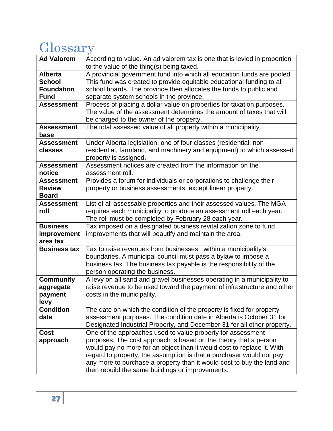# <span id="page-30-0"></span>Glossary

| <b>Ad Valorem</b>           | According to value. An ad valorem tax is one that is levied in proportion           |
|-----------------------------|-------------------------------------------------------------------------------------|
|                             | to the value of the thing(s) being taxed.                                           |
| <b>Alberta</b>              | A provincial government fund into which all education funds are pooled.             |
| <b>School</b>               | This fund was created to provide equitable educational funding to all               |
| <b>Foundation</b>           | school boards. The province then allocates the funds to public and                  |
| Fund                        | separate system schools in the province.                                            |
| <b>Assessment</b>           | Process of placing a dollar value on properties for taxation purposes.              |
|                             | The value of the assessment determines the amount of taxes that will                |
|                             | be charged to the owner of the property.                                            |
| <b>Assessment</b>           | The total assessed value of all property within a municipality.                     |
| base                        |                                                                                     |
| <b>Assessment</b>           | Under Alberta legislation, one of four classes (residential, non-                   |
| classes                     | residential, farmland, and machinery and equipment) to which assessed               |
|                             | property is assigned.<br>Assessment notices are created from the information on the |
| <b>Assessment</b><br>notice | assessment roll.                                                                    |
| <b>Assessment</b>           | Provides a forum for individuals or corporations to challenge their                 |
| <b>Review</b>               | property or business assessments, except linear property.                           |
| <b>Board</b>                |                                                                                     |
| <b>Assessment</b>           | List of all assessable properties and their assessed values. The MGA                |
| roll                        | requires each municipality to produce an assessment roll each year.                 |
|                             | The roll must be completed by February 28 each year.                                |
| <b>Business</b>             | Tax imposed on a designated business revitalization zone to fund                    |
| improvement                 | improvements that will beautify and maintain the area.                              |
| area tax                    |                                                                                     |
| <b>Business tax</b>         | Tax to raise revenues from businesses within a municipality's                       |
|                             | boundaries. A municipal council must pass a bylaw to impose a                       |
|                             | business tax. The business tax payable is the responsibility of the                 |
|                             | person operating the business.                                                      |
| <b>Community</b>            | A levy on all sand and gravel businesses operating in a municipality to             |
| aggregate                   | raise revenue to be used toward the payment of infrastructure and other             |
| payment                     | costs in the municipality.                                                          |
| levy                        |                                                                                     |
| <b>Condition</b>            | The date on which the condition of the property is fixed for property               |
| date                        | assessment purposes. The condition date in Alberta is October 31 for                |
|                             | Designated Industrial Property, and December 31 for all other property.             |
| <b>Cost</b>                 | One of the approaches used to value property for assessment                         |
| approach                    | purposes. The cost approach is based on the theory that a person                    |
|                             | would pay no more for an object than it would cost to replace it. With              |
|                             | regard to property, the assumption is that a purchaser would not pay                |
|                             | any more to purchase a property than it would cost to buy the land and              |
|                             | then rebuild the same buildings or improvements.                                    |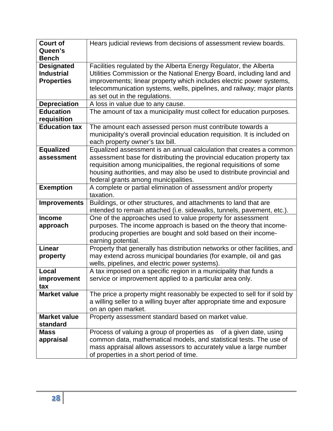| <b>Court of</b>                                             | Hears judicial reviews from decisions of assessment review boards.                                                                                                                                                                                                                                                                     |
|-------------------------------------------------------------|----------------------------------------------------------------------------------------------------------------------------------------------------------------------------------------------------------------------------------------------------------------------------------------------------------------------------------------|
| Queen's<br><b>Bench</b>                                     |                                                                                                                                                                                                                                                                                                                                        |
| <b>Designated</b><br><b>Industrial</b><br><b>Properties</b> | Facilities regulated by the Alberta Energy Regulator, the Alberta<br>Utilities Commission or the National Energy Board, including land and<br>improvements; linear property which includes electric power systems,<br>telecommunication systems, wells, pipelines, and railway; major plants<br>as set out in the regulations.         |
| <b>Depreciation</b>                                         | A loss in value due to any cause.                                                                                                                                                                                                                                                                                                      |
| <b>Education</b><br>requisition                             | The amount of tax a municipality must collect for education purposes.                                                                                                                                                                                                                                                                  |
| <b>Education tax</b>                                        | The amount each assessed person must contribute towards a<br>municipality's overall provincial education requisition. It is included on<br>each property owner's tax bill.                                                                                                                                                             |
| <b>Equalized</b><br>assessment                              | Equalized assessment is an annual calculation that creates a common<br>assessment base for distributing the provincial education property tax<br>requisition among municipalities, the regional requisitions of some<br>housing authorities, and may also be used to distribute provincial and<br>federal grants among municipalities. |
| <b>Exemption</b>                                            | A complete or partial elimination of assessment and/or property<br>taxation.                                                                                                                                                                                                                                                           |
| <b>Improvements</b>                                         | Buildings, or other structures, and attachments to land that are<br>intended to remain attached (i.e. sidewalks, tunnels, pavement, etc.).                                                                                                                                                                                             |
| <b>Income</b>                                               | One of the approaches used to value property for assessment                                                                                                                                                                                                                                                                            |
| approach                                                    | purposes. The income approach is based on the theory that income-<br>producing properties are bought and sold based on their income-<br>earning potential.                                                                                                                                                                             |
| <b>Linear</b>                                               | Property that generally has distribution networks or other facilities, and                                                                                                                                                                                                                                                             |
| property                                                    | may extend across municipal boundaries (for example, oil and gas<br>wells, pipelines, and electric power systems).                                                                                                                                                                                                                     |
| Local                                                       | A tax imposed on a specific region in a municipality that funds a                                                                                                                                                                                                                                                                      |
| improvement<br>tax                                          | service or improvement applied to a particular area only.                                                                                                                                                                                                                                                                              |
| <b>Market value</b>                                         | The price a property might reasonably be expected to sell for if sold by<br>a willing seller to a willing buyer after appropriate time and exposure<br>on an open market.                                                                                                                                                              |
| <b>Market value</b><br>standard                             | Property assessment standard based on market value.                                                                                                                                                                                                                                                                                    |
| <b>Mass</b><br>appraisal                                    | Process of valuing a group of properties as<br>of a given date, using<br>common data, mathematical models, and statistical tests. The use of<br>mass appraisal allows assessors to accurately value a large number<br>of properties in a short period of time.                                                                         |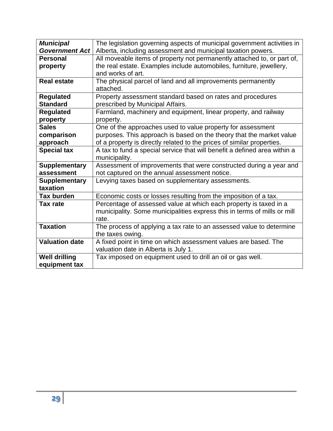| <b>Municipal</b>      | The legislation governing aspects of municipal government activities in   |
|-----------------------|---------------------------------------------------------------------------|
| <b>Government Act</b> | Alberta, including assessment and municipal taxation powers.              |
| <b>Personal</b>       | All moveable items of property not permanently attached to, or part of,   |
| property              | the real estate. Examples include automobiles, furniture, jewellery,      |
|                       | and works of art.                                                         |
| <b>Real estate</b>    | The physical parcel of land and all improvements permanently              |
|                       | attached.                                                                 |
| <b>Regulated</b>      | Property assessment standard based on rates and procedures                |
| <b>Standard</b>       | prescribed by Municipal Affairs.                                          |
| <b>Regulated</b>      | Farmland, machinery and equipment, linear property, and railway           |
| property              | property.                                                                 |
| <b>Sales</b>          | One of the approaches used to value property for assessment               |
| comparison            | purposes. This approach is based on the theory that the market value      |
| approach              | of a property is directly related to the prices of similar properties.    |
| <b>Special tax</b>    | A tax to fund a special service that will benefit a defined area within a |
|                       | municipality.                                                             |
| <b>Supplementary</b>  | Assessment of improvements that were constructed during a year and        |
| assessment            | not captured on the annual assessment notice.                             |
| <b>Supplementary</b>  | Levying taxes based on supplementary assessments.                         |
| taxation              |                                                                           |
| <b>Tax burden</b>     | Economic costs or losses resulting from the imposition of a tax.          |
| <b>Tax rate</b>       | Percentage of assessed value at which each property is taxed in a         |
|                       | municipality. Some municipalities express this in terms of mills or mill  |
|                       | rate.                                                                     |
| <b>Taxation</b>       | The process of applying a tax rate to an assessed value to determine      |
|                       | the taxes owing.                                                          |
| <b>Valuation date</b> | A fixed point in time on which assessment values are based. The           |
|                       | valuation date in Alberta is July 1.                                      |
| <b>Well drilling</b>  | Tax imposed on equipment used to drill an oil or gas well.                |
| equipment tax         |                                                                           |